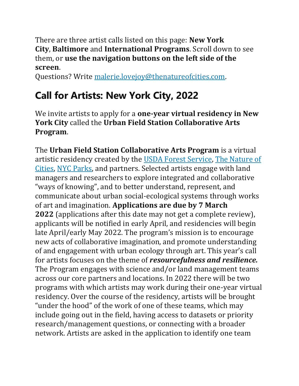There are three artist calls listed on this page: **New York City**, **Baltimore** and **International Programs**. Scroll down to see them, or **use the navigation buttons on the left side of the screen**.

Questions? Write [malerie.lovejoy@thenatureofcities.com.](mailto:malerie.lovejoy@thenatureofcities.com)

# **Call for Artists: New York City, 2022**

We invite artists to apply for a **one-year virtual residency in New York City** called the **Urban Field Station Collaborative Arts Program**.

The **Urban Field Station Collaborative Arts Program** is a virtual artistic residency created by the [USDA Forest Service,](https://www.nrs.fs.fed.us/nyc/) [The Nature of](https://www.thenatureofcities.com/)  [Cities,](https://www.thenatureofcities.com/) [NYC Parks,](https://www.nycgovparks.org/) and partners. Selected artists engage with land managers and researchers to explore integrated and collaborative "ways of knowing", and to better understand, represent, and communicate about urban social-ecological systems through works of art and imagination. **Applications are due by 7 March 2022** (applications after this date may not get a complete review), applicants will be notified in early April, and residencies will begin late April/early May 2022. The program's mission is to encourage new acts of collaborative imagination, and promote understanding of and engagement with urban ecology through art. This year's call for artists focuses on the theme of *resourcefulness and resilience.* The Program engages with science and/or land management teams across our core partners and locations. In 2022 there will be two programs with which artists may work during their one-year virtual residency. Over the course of the residency, artists will be brought "under the hood" of the work of one of these teams, which may include going out in the field, having access to datasets or priority research/management questions, or connecting with a broader network. Artists are asked in the application to identify one team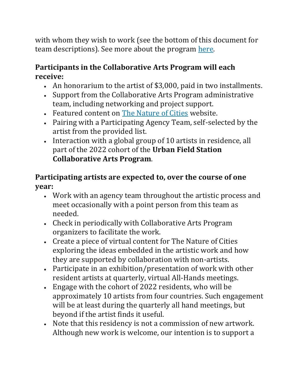with whom they wish to work (see the bottom of this document for team descriptions). See more about the program [here.](https://ufsarts.com/)

### **Participants in the Collaborative Arts Program will each receive:**

- An honorarium to the artist of \$3,000, paid in two installments.
- Support from the Collaborative Arts Program administrative team, including networking and project support.
- Featured content on [The Nature of Cities](https://www.thenatureofcities.com/) website.
- Pairing with a Participating Agency Team, self-selected by the artist from the provided list.
- Interaction with a global group of 10 artists in residence, all part of the 2022 cohort of the **Urban Field Station Collaborative Arts Program**.

#### **Participating artists are expected to, over the course of one year:**

- Work with an agency team throughout the artistic process and meet occasionally with a point person from this team as needed.
- Check in periodically with Collaborative Arts Program organizers to facilitate the work.
- Create a piece of virtual content for The Nature of Cities exploring the ideas embedded in the artistic work and how they are supported by collaboration with non-artists.
- Participate in an exhibition/presentation of work with other resident artists at quarterly, virtual All-Hands meetings.
- Engage with the cohort of 2022 residents, who will be approximately 10 artists from four countries. Such engagement will be at least during the quarterly all hand meetings, but beyond if the artist finds it useful.
- Note that this residency is not a commission of new artwork. Although new work is welcome, our intention is to support a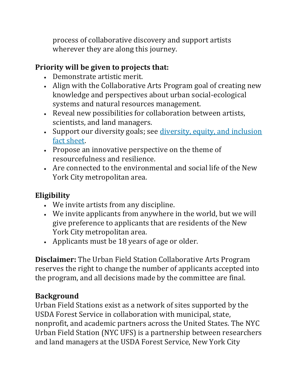process of collaborative discovery and support artists wherever they are along this journey.

### **Priority will be given to projects that:**

- Demonstrate artistic merit.
- Align with the Collaborative Arts Program goal of creating new knowledge and perspectives about urban social-ecological systems and natural resources management.
- Reveal new possibilities for collaboration between artists, scientists, and land managers.
- Support our diversity goals; see diversity, equity, and inclusion [fact sheet.](https://drive.google.com/file/d/1-VbP5t09WYOSk3S4xUIvzn59OHppqfIt/view)
- Propose an innovative perspective on the theme of resourcefulness and resilience.
- Are connected to the environmental and social life of the New York City metropolitan area.

## **Eligibility**

- We invite artists from any discipline.
- We invite applicants from anywhere in the world, but we will give preference to applicants that are residents of the New York City metropolitan area.
- Applicants must be 18 years of age or older.

**Disclaimer:** The Urban Field Station Collaborative Arts Program reserves the right to change the number of applicants accepted into the program, and all decisions made by the committee are final.

#### **Background**

Urban Field Stations exist as a network of sites supported by the USDA Forest Service in collaboration with municipal, state, nonprofit, and academic partners across the United States. The NYC Urban Field Station (NYC UFS) is a partnership between researchers and land managers at the USDA Forest Service, New York City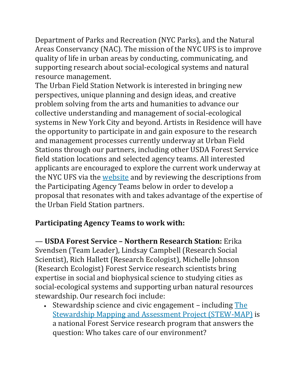Department of Parks and Recreation (NYC Parks), and the Natural Areas Conservancy (NAC). The mission of the NYC UFS is to improve quality of life in urban areas by conducting, communicating, and supporting research about social-ecological systems and natural resource management.

The Urban Field Station Network is interested in bringing new perspectives, unique planning and design ideas, and creative problem solving from the arts and humanities to advance our collective understanding and management of social-ecological systems in New York City and beyond. Artists in Residence will have the opportunity to participate in and gain exposure to the research and management processes currently underway at Urban Field Stations through our partners, including other USDA Forest Service field station locations and selected agency teams. All interested applicants are encouraged to explore the current work underway at the NYC UFS via the [website](https://www.nrs.fs.fed.us/nyc/) and by reviewing the descriptions from the Participating Agency Teams below in order to develop a proposal that resonates with and takes advantage of the expertise of the Urban Field Station partners.

#### **Participating Agency Teams to work with:**

— **USDA Forest Service – Northern Research Station:** Erika Svendsen (Team Leader), Lindsay Campbell (Research Social Scientist), Rich Hallett (Research Ecologist), Michelle Johnson (Research Ecologist) Forest Service research scientists bring expertise in social and biophysical science to studying cities as social-ecological systems and supporting urban natural resources stewardship. Our research foci include:

• Stewardship science and civic engagement - including The [Stewardship Mapping and Assessment Project \(STEW-MAP\)](https://www.nrs.fs.fed.us/STEW-MAP/) is a national Forest Service research program that answers the question: Who takes care of our environment?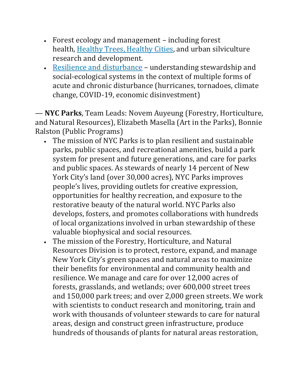- Forest ecology and management including forest health, [Healthy Trees, Healthy Cities,](https://healthytreeshealthycitiesapp.org/) and urban silviculture research and development.
- [Resilience and disturbance](https://www.nrs.fs.fed.us/nyc/focus/resilience_health_well_being/) understanding stewardship and social-ecological systems in the context of multiple forms of acute and chronic disturbance (hurricanes, tornadoes, climate change, COVID-19, economic disinvestment)

— **NYC Parks**, Team Leads: Novem Auyeung (Forestry, Horticulture, and Natural Resources), Elizabeth Masella (Art in the Parks), Bonnie Ralston (Public Programs)

- The mission of NYC Parks is to plan resilient and sustainable parks, public spaces, and recreational amenities, build a park system for present and future generations, and care for parks and public spaces. As stewards of nearly 14 percent of New York City's land (over 30,000 acres), NYC Parks improves people's lives, providing outlets for creative expression, opportunities for healthy recreation, and exposure to the restorative beauty of the natural world. NYC Parks also develops, fosters, and promotes collaborations with hundreds of local organizations involved in urban stewardship of these valuable biophysical and social resources.
- The mission of the Forestry, Horticulture, and Natural Resources Division is to protect, restore, expand, and manage New York City's green spaces and natural areas to maximize their benefits for environmental and community health and resilience. We manage and care for over 12,000 acres of forests, grasslands, and wetlands; over 600,000 street trees and 150,000 park trees; and over 2,000 green streets. We work with scientists to conduct research and monitoring, train and work with thousands of volunteer stewards to care for natural areas, design and construct green infrastructure, produce hundreds of thousands of plants for natural areas restoration,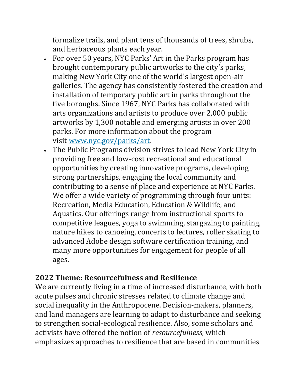formalize trails, and plant tens of thousands of trees, shrubs, and herbaceous plants each year.

- For over 50 years, NYC Parks' Art in the Parks program has brought contemporary public artworks to the city's parks, making New York City one of the world's largest open-air galleries. The agency has consistently fostered the creation and installation of temporary public art in parks throughout the five boroughs. Since 1967, NYC Parks has collaborated with arts organizations and artists to produce over 2,000 public artworks by 1,300 notable and emerging artists in over 200 parks. For more information about the program visit [www.nyc.gov/parks/art.](http://www.nyc.gov/parks/art)
- The Public Programs division strives to lead New York City in providing free and low-cost recreational and educational opportunities by creating innovative programs, developing strong partnerships, engaging the local community and contributing to a sense of place and experience at NYC Parks. We offer a wide variety of programming through four units: Recreation, Media Education, Education & Wildlife, and Aquatics. Our offerings range from instructional sports to competitive leagues, yoga to swimming, stargazing to painting, nature hikes to canoeing, concerts to lectures, roller skating to advanced Adobe design software certification training, and many more opportunities for engagement for people of all ages.

#### **2022 Theme: Resourcefulness and Resilience**

We are currently living in a time of increased disturbance, with both acute pulses and chronic stresses related to climate change and social inequality in the Anthropocene. Decision-makers, planners, and land managers are learning to adapt to disturbance and seeking to strengthen social-ecological resilience. Also, some scholars and activists have offered the notion of *resourcefulness*, which emphasizes approaches to resilience that are based in communities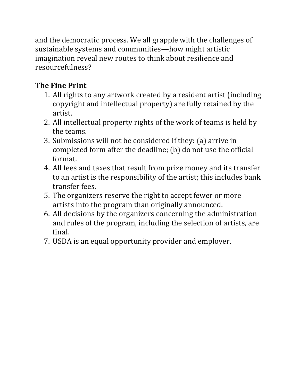and the democratic process. We all grapple with the challenges of sustainable systems and communities—how might artistic imagination reveal new routes to think about resilience and resourcefulness?

## **The Fine Print**

- 1. All rights to any artwork created by a resident artist (including copyright and intellectual property) are fully retained by the artist.
- 2. All intellectual property rights of the work of teams is held by the teams.
- 3. Submissions will not be considered if they: (a) arrive in completed form after the deadline; (b) do not use the official format.
- 4. All fees and taxes that result from prize money and its transfer to an artist is the responsibility of the artist; this includes bank transfer fees.
- 5. The organizers reserve the right to accept fewer or more artists into the program than originally announced.
- 6. All decisions by the organizers concerning the administration and rules of the program, including the selection of artists, are final.
- 7. USDA is an equal opportunity provider and employer.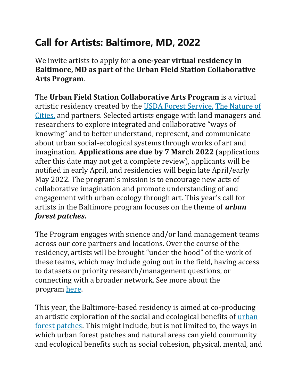# **Call for Artists: Baltimore, MD, 2022**

We invite artists to apply for **a one-year virtual residency in Baltimore, MD as part of** the **Urban Field Station Collaborative Arts Program**.

The **Urban Field Station Collaborative Arts Program** is a virtual artistic residency created by the [USDA Forest Service,](https://www.nrs.fs.fed.us/nyc/) [The Nature of](https://www.thenatureofcities.com/)  [Cities,](https://www.thenatureofcities.com/) and partners. Selected artists engage with land managers and researchers to explore integrated and collaborative "ways of knowing" and to better understand, represent, and communicate about urban social-ecological systems through works of art and imagination. **Applications are due by 7 March 2022** (applications after this date may not get a complete review), applicants will be notified in early April, and residencies will begin late April/early May 2022. The program's mission is to encourage new acts of collaborative imagination and promote understanding of and engagement with urban ecology through art. This year's call for artists in the Baltimore program focuses on the theme of *urban forest patches***.**

The Program engages with science and/or land management teams across our core partners and locations. Over the course of the residency, artists will be brought "under the hood" of the work of these teams, which may include going out in the field, having access to datasets or priority research/management questions, or connecting with a broader network. See more about the program [here.](https://ufsarts.com/)

This year, the Baltimore-based residency is aimed at co-producing an artistic exploration of the social and ecological benefits of [urban](https://www.fs.fed.us/research/docs/cross-pollinator/Cross-Pollinator_issue-1-summer-2020.pdf)  [forest patches.](https://www.fs.fed.us/research/docs/cross-pollinator/Cross-Pollinator_issue-1-summer-2020.pdf) This might include, but is not limited to, the ways in which urban forest patches and natural areas can yield community and ecological benefits such as social cohesion, physical, mental, and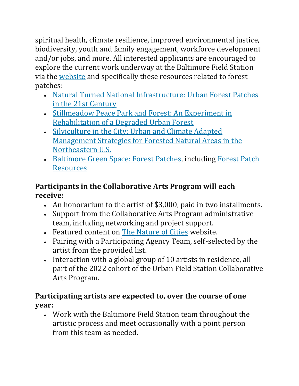spiritual health, climate resilience, improved environmental justice, biodiversity, youth and family engagement, workforce development and/or jobs, and more. All interested applicants are encouraged to explore the current work underway at the Baltimore Field Station via the [website](https://www.nrs.fs.fed.us/baltimore/) and specifically these resources related to forest patches:

- [Natural Turned National Infrastructure: Urban Forest Patches](https://www.fs.fed.us/research/docs/cross-pollinator/Cross-Pollinator_issue-1-summer-2020.pdf)  [in the 21st Century](https://www.fs.fed.us/research/docs/cross-pollinator/Cross-Pollinator_issue-1-summer-2020.pdf)
- [Stillmeadow Peace Park and Forest: An Experiment in](https://www.nrs.fs.fed.us/urban/sustainability/stillmeadow/)  [Rehabilitation of a Degraded Urban Forest](https://www.nrs.fs.fed.us/urban/sustainability/stillmeadow/)
- [Silviculture in the City: Urban and Climate Adapted](https://www.nrs.fs.fed.us/urban/sustainability/urban-forest-patch-silviculture/)  [Management Strategies for Forested Natural Areas in the](https://www.nrs.fs.fed.us/urban/sustainability/urban-forest-patch-silviculture/)  [Northeastern U.S.](https://www.nrs.fs.fed.us/urban/sustainability/urban-forest-patch-silviculture/)
- [Baltimore Green Space: Forest Patches,](https://baltimoregreenspace.org/forest-patches/forest-patches-resources/) including [Forest Patch](https://baltimoregreenspace.org/forest-patches/forest-patches-resources/)  [Resources](https://baltimoregreenspace.org/forest-patches/forest-patches-resources/)

#### **Participants in the Collaborative Arts Program will each receive:**

- An honorarium to the artist of \$3,000, paid in two installments.
- Support from the Collaborative Arts Program administrative team, including networking and project support.
- Featured content on [The Nature of Cities](https://www.thenatureofcities.com/) website.
- Pairing with a Participating Agency Team, self-selected by the artist from the provided list.
- Interaction with a global group of 10 artists in residence, all part of the 2022 cohort of the Urban Field Station Collaborative Arts Program.

#### **Participating artists are expected to, over the course of one year:**

• Work with the Baltimore Field Station team throughout the artistic process and meet occasionally with a point person from this team as needed.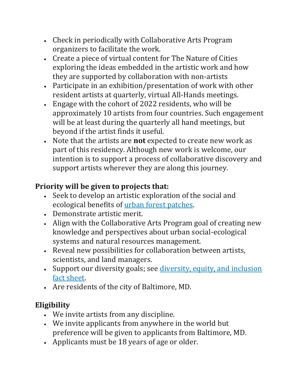- Check in periodically with Collaborative Arts Program organizers to facilitate the work.
- Create a piece of virtual content for The Nature of Cities exploring the ideas embedded in the artistic work and how they are supported by collaboration with non-artists
- Participate in an exhibition/presentation of work with other resident artists at quarterly, virtual All-Hands meetings.
- Engage with the cohort of 2022 residents, who will be approximately 10 artists from four countries. Such engagement will be at least during the quarterly all hand meetings, but beyond if the artist finds it useful.
- Note that the artists are **not** expected to create new work as part of this residency. Although new work is welcome, our intention is to support a process of collaborative discovery and support artists wherever they are along this journey.

### **Priority will be given to projects that:**

- Seek to develop an artistic exploration of the social and ecological benefits of [urban forest patches.](https://www.fs.fed.us/research/docs/cross-pollinator/Cross-Pollinator_issue-1-summer-2020.pdf)
- Demonstrate artistic merit.
- Align with the Collaborative Arts Program goal of creating new knowledge and perspectives about urban social-ecological systems and natural resources management.
- Reveal new possibilities for collaboration between artists, scientists, and land managers.
- Support our diversity goals; see *diversity, equity, and inclusion* [fact sheet.](https://drive.google.com/file/d/1-VbP5t09WYOSk3S4xUIvzn59OHppqfIt/view)
- Are residents of the city of Baltimore, MD.

### **Eligibility**

- We invite artists from any discipline.
- We invite applicants from anywhere in the world but preference will be given to applicants from Baltimore, MD.
- Applicants must be 18 years of age or older.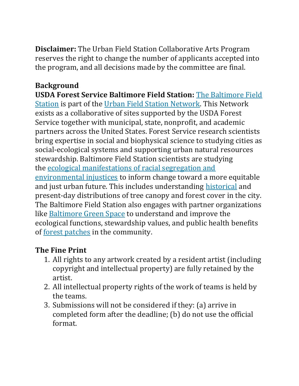**Disclaimer:** The Urban Field Station Collaborative Arts Program reserves the right to change the number of applicants accepted into the program, and all decisions made by the committee are final.

### **Background**

**USDA Forest Service Baltimore Field Station:** [The Baltimore Field](https://www.nrs.fs.fed.us/baltimore/)  [Station](https://www.nrs.fs.fed.us/baltimore/) is part of the [Urban Field Station Network.](https://www.nrs.fs.fed.us/ufs/) This Network exists as a collaborative of sites supported by the USDA Forest Service together with municipal, state, nonprofit, and academic partners across the United States. Forest Service research scientists bring expertise in social and biophysical science to studying cities as social-ecological systems and supporting urban natural resources stewardship. Baltimore Field Station scientists are studying the [ecological manifestations of racial segregation and](https://www.nrs.fs.fed.us/urban/environmental_justice/residential-housing-segregation/)  [environmental injustices](https://www.nrs.fs.fed.us/urban/environmental_justice/residential-housing-segregation/) to inform change toward a more equitable and just urban future. This includes understanding [historical](https://www.nrs.fs.fed.us/baltimore/focus/governance-engagement/baltimore-old-forest-project/) and present-day distributions of tree canopy and forest cover in the city. The Baltimore Field Station also engages with partner organizations like [Baltimore Green Space](https://baltimoregreenspace.org/) to understand and improve the ecological functions, stewardship values, and public health benefits of [forest patches](https://www.nrs.fs.fed.us/urban/sustainability/stillmeadow/) in the community.

#### **The Fine Print**

- 1. All rights to any artwork created by a resident artist (including copyright and intellectual property) are fully retained by the artist.
- 2. All intellectual property rights of the work of teams is held by the teams.
- 3. Submissions will not be considered if they: (a) arrive in completed form after the deadline; (b) do not use the official format.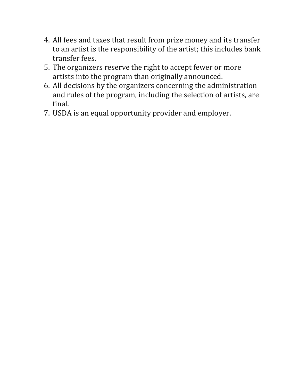- 4. All fees and taxes that result from prize money and its transfer to an artist is the responsibility of the artist; this includes bank transfer fees.
- 5. The organizers reserve the right to accept fewer or more artists into the program than originally announced.
- 6. All decisions by the organizers concerning the administration and rules of the program, including the selection of artists, are final.
- 7. USDA is an equal opportunity provider and employer.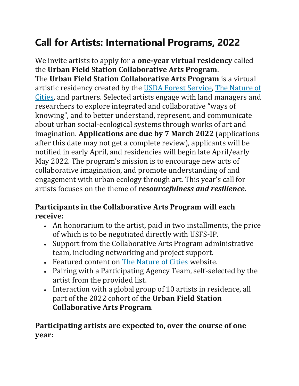# **Call for Artists: International Programs, 2022**

We invite artists to apply for a **one-year virtual residency** called the **Urban Field Station Collaborative Arts Program**. The **Urban Field Station Collaborative Arts Program** is a virtual artistic residency created by the [USDA Forest Service,](https://www.nrs.fs.fed.us/nyc/) [The Nature of](https://www.thenatureofcities.com/)  [Cities,](https://www.thenatureofcities.com/) and partners. Selected artists engage with land managers and researchers to explore integrated and collaborative "ways of knowing", and to better understand, represent, and communicate about urban social-ecological systems through works of art and imagination. **Applications are due by 7 March 2022** (applications after this date may not get a complete review), applicants will be notified in early April, and residencies will begin late April/early May 2022. The program's mission is to encourage new acts of collaborative imagination, and promote understanding of and engagement with urban ecology through art. This year's call for artists focuses on the theme of *resourcefulness and resilience.*

#### **Participants in the Collaborative Arts Program will each receive:**

- An honorarium to the artist, paid in two installments, the price of which is to be negotiated directly with USFS-IP.
- Support from the Collaborative Arts Program administrative team, including networking and project support.
- Featured content on [The Nature of Cities](https://www.thenatureofcities.com/) website.
- Pairing with a Participating Agency Team, self-selected by the artist from the provided list.
- Interaction with a global group of 10 artists in residence, all part of the 2022 cohort of the **Urban Field Station Collaborative Arts Program**.

#### **Participating artists are expected to, over the course of one year:**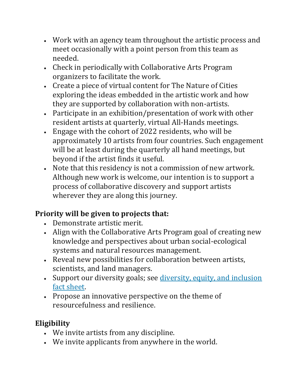- Work with an agency team throughout the artistic process and meet occasionally with a point person from this team as needed.
- Check in periodically with Collaborative Arts Program organizers to facilitate the work.
- Create a piece of virtual content for The Nature of Cities exploring the ideas embedded in the artistic work and how they are supported by collaboration with non-artists.
- Participate in an exhibition/presentation of work with other resident artists at quarterly, virtual All-Hands meetings.
- Engage with the cohort of 2022 residents, who will be approximately 10 artists from four countries. Such engagement will be at least during the quarterly all hand meetings, but beyond if the artist finds it useful.
- Note that this residency is not a commission of new artwork. Although new work is welcome, our intention is to support a process of collaborative discovery and support artists wherever they are along this journey.

## **Priority will be given to projects that:**

- Demonstrate artistic merit.
- Align with the Collaborative Arts Program goal of creating new knowledge and perspectives about urban social-ecological systems and natural resources management.
- Reveal new possibilities for collaboration between artists, scientists, and land managers.
- Support our diversity goals; see *diversity, equity, and inclusion* [fact sheet.](https://drive.google.com/file/d/1-VbP5t09WYOSk3S4xUIvzn59OHppqfIt/view)
- Propose an innovative perspective on the theme of resourcefulness and resilience.

### **Eligibility**

- We invite artists from any discipline.
- We invite applicants from anywhere in the world.